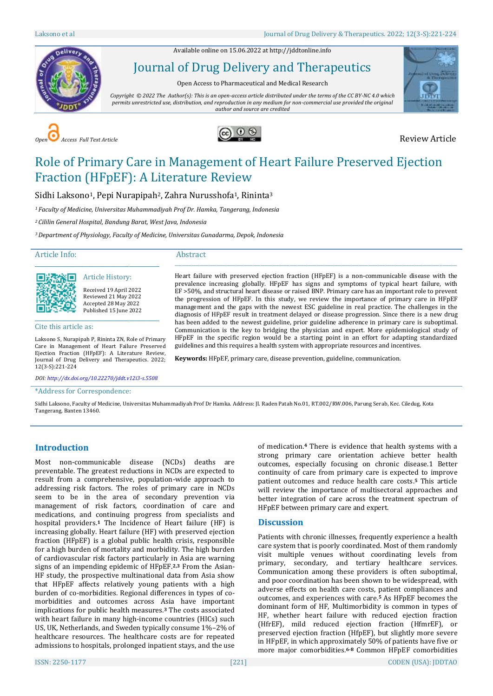Available online on 15.06.2022 a[t http://jddtonline.info](http://jddtonline.info/)



Journal of Drug Delivery and Therapeutics

Open Access to Pharmaceutical and Medical Research

*Copyright © 2022 The Author(s): This is an open-access article distributed under the terms of the CC BY-NC 4.0 which permits unrestricted use, distribution, and reproduction in any medium for non-commercial use provided the original author and source are credited*







# Role of Primary Care in Management of Heart Failure Preserved Ejection Fraction (HFpEF): A Literature Review

Sidhi Laksono<sup>1</sup>, Pepi Nurapipah<sup>2</sup>, Zahra Nurusshofa<sup>1</sup>, Rininta<sup>3</sup>

*<sup>1</sup>Faculty of Medicine, Universitas Muhammadiyah Prof Dr. Hamka, Tangerang, Indonesia*

*<sup>2</sup>Cililin General Hospital, Bandung Barat, West Java, Indonesia*

*<sup>3</sup>Department of Physiology, Faculty of Medicine, Universitas Gunadarma, Depok, Indonesia*

Article Info:

#### Abstract



Article History: Received 19 April 2022 Reviewed 21 May 2022 Accepted 28 May 2022 Published 15 June 2022

Cite this article as:

Laksono S, Nurapipah P, Rininta ZN, Role of Primary Care in Management of Heart Failure Preserved Ejection Fraction (HFpEF): A Literature Review, Journal of Drug Delivery and Therapeutics. 2022; 12(3-S):221-224

\_\_\_\_\_\_\_\_\_\_\_\_\_\_\_\_\_\_\_\_\_\_\_\_\_\_\_\_\_\_\_\_\_\_\_\_\_\_\_\_\_\_\_\_\_

Heart failure with preserved ejection fraction (HFpEF) is a non-communicable disease with the prevalence increasing globally. HFpEF has signs and symptoms of typical heart failure, with EF >50%, and structural heart disease or raised BNP. Primary care has an important role to prevent the progression of HFpEF. In this study, we review the importance of primary care in HFpEF management and the gaps with the newest ESC guideline in real practice. The challenges in the diagnosis of HFpEF result in treatment delayed or disease progression. Since there is a new drug has been added to the newest guideline, prior guideline adherence in primary care is suboptimal. Communication is the key to bridging the physician and expert. More epidemiological study of HFpEF in the specific region would be a starting point in an effort for adapting standardized guidelines and this requires a health system with appropriate resources and incentives.

\_\_\_\_\_\_\_\_\_\_\_\_\_\_\_\_\_\_\_\_\_\_\_\_\_\_\_\_\_\_\_\_\_\_\_\_\_\_\_\_\_\_\_\_\_\_\_\_\_\_\_\_\_\_\_\_\_\_\_\_\_\_\_\_\_\_\_\_\_\_\_\_\_\_\_\_\_\_\_\_\_\_\_\_\_\_\_\_\_\_\_\_\_\_\_\_\_\_\_\_\_\_\_\_\_\_\_\_\_\_\_\_\_\_\_

**Keywords:** HFpEF, primary care, disease prevention, guideline, communication.

*DOI[: http://dx.doi.org/10.22270/jddt.v12i3-s.5508](http://dx.doi.org/10.22270/jddt.v12i3-s.5508)*

\*Address for Correspondence:

Sidhi Laksono, Faculty of Medicine, Universitas Muhammadiyah Prof Dr Hamka. Address: Jl. Raden Patah No.01, RT.002/RW.006, Parung Serab, Kec. Ciledug, Kota Tangerang, Banten 13460.

## **Introduction**

Most non-communicable disease (NCDs) deaths are preventable. The greatest reductions in NCDs are expected to result from a comprehensive, population-wide approach to addressing risk factors. The roles of primary care in NCDs seem to be in the area of secondary prevention via management of risk factors, coordination of care and medications, and continuing progress from specialists and hospital providers.**<sup>1</sup>** The Incidence of Heart failure (HF) is increasing globally. Heart failure (HF) with preserved ejection fraction (HFpEF) is a global public health crisis, responsible for a high burden of mortality and morbidity. The high burden of cardiovascular risk factors particularly in Asia are warning signs of an impending epidemic of HFpEF.**2,3** From the Asian-HF study, the prospective multinational data from Asia show that HFpEF affects relatively young patients with a high burden of co-morbidities. Regional differences in types of comorbidities and outcomes across Asia have important implications for public health measures.**<sup>3</sup>** The costs associated with heart failure in many high-income countries (HICs) such US, UK, Netherlands, and Sweden typically consume 1%–2% of healthcare resources. The healthcare costs are for repeated admissions to hospitals, prolonged inpatient stays, and the use

of medication. **<sup>4</sup>** There is evidence that health systems with a strong primary care orientation achieve better health outcomes, especially focusing on chronic disease.1 Better continuity of care from primary care is expected to improve patient outcomes and reduce health care costs. **<sup>5</sup>** This article will review the importance of multisectoral approaches and better integration of care across the treatment spectrum of HFpEF between primary care and expert.

#### **Discussion**

Patients with chronic illnesses, frequently experience a health care system that is poorly coordinated. Most of them randomly visit multiple venues without coordinating levels from primary, secondary, and tertiary healthcare services. Communication among these providers is often suboptimal, and poor coordination has been shown to be widespread, with adverse effects on health care costs, patient compliances and outcomes, and experiences with care.**<sup>5</sup>** As HFpEF becomes the dominant form of HF, Multimorbidity is common in types of HF, whether heart failure with reduced ejection fraction (HfrEF), mild reduced ejection fraction (HfmrEF), or preserved ejection fraction (HfpEF), but slightly more severe in HFpEF, in which approximately 50% of patients have five or more major comorbidities.**6-8** Common HFpEF comorbidities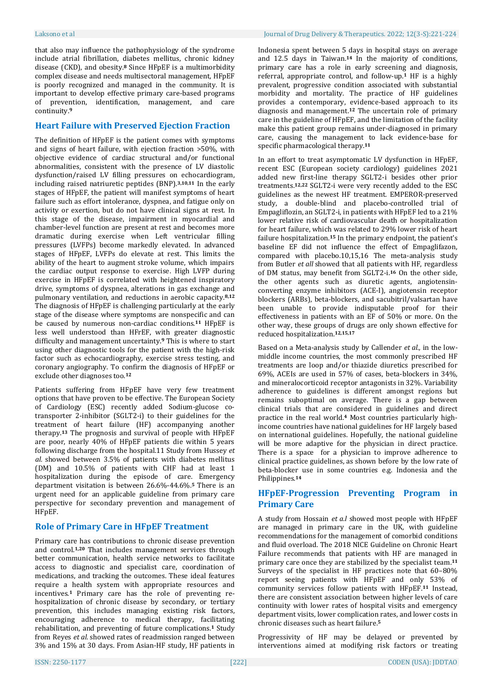that also may influence the pathophysiology of the syndrome include atrial fibrillation, diabetes mellitus, chronic kidney disease (CKD), and obesity.**<sup>8</sup>** Since HFpEF is a multimorbidity complex disease and needs multisectoral management, HFpEF is poorly recognized and managed in the community. It is important to develop effective primary care-based programs of prevention, identification, management, and care continuity. **9**

#### **Heart Failure with Preserved Ejection Fraction**

The definition of HFpEF is the patient comes with symptoms and signs of heart failure, with ejection fraction >50%, with objective evidence of cardiac structural and/or functional abnormalities, consistent with the presence of LV diastolic dysfunction/raised LV filling pressures on echocardiogram, including raised natriuretic peptides (BNP). **3,10,11** In the early stages of HFpEF, the patient will manifest symptoms of heart failure such as effort intolerance, dyspnea, and fatigue only on activity or exertion, but do not have clinical signs at rest. In this stage of the disease, impairment in myocardial and chamber-level function are present at rest and becomes more dramatic during exercise when Left ventricular filling pressures (LVFPs) become markedly elevated. In advanced stages of HFpEF, LVFPs do elevate at rest. This limits the ability of the heart to augment stroke volume, which impairs the cardiac output response to exercise. High LVFP during exercise in HFpEF is correlated with heightened inspiratory drive, symptoms of dyspnea, alterations in gas exchange and pulmonary ventilation, and reductions in aerobic capacity. **8,12** The diagnosis of HFpEF is challenging particularly at the early stage of the disease where symptoms are nonspecific and can be caused by numerous non-cardiac conditions.**<sup>11</sup>** HFpEF is less well understood than HFrEF, with greater diagnostic difficulty and management uncertainty.**<sup>9</sup>** This is where to start using other diagnostic tools for the patient with the high-risk factor such as echocardiography, exercise stress testing, and coronary angiography. To confirm the diagnosis of HFpEF or exclude other diagnoses too.**<sup>12</sup>**

Patients suffering from HFpEF have very few treatment options that have proven to be effective. The European Society of Cardiology (ESC) recently added Sodium-glucose cotransporter 2-inhibitor (SGLT2-i) to their guidelines for the treatment of heart failure (HF) accompanying another therapy.**<sup>13</sup>** The prognosis and survival of people with HFpEF are poor, nearly 40% of HFpEF patients die within 5 years following discharge from the hospital.11 Study from Hussey *et al.* showed between 3.5% of patients with diabetes mellitus (DM) and 10.5% of patients with CHF had at least 1 hospitalization during the episode of care. Emergency department visitation is between 26.6%-44.6%.**<sup>5</sup>** There is an urgent need for an applicable guideline from primary care perspective for secondary prevention and management of HFpEF.

#### **Role of Primary Care in HFpEF Treatment**

Primary care has contributions to chronic disease prevention and control.**1,20** That includes management services through better communication, health service networks to facilitate access to diagnostic and specialist care, coordination of medications, and tracking the outcomes. These ideal features require a health system with appropriate resources and incentives.**<sup>1</sup>** Primary care has the role of preventing rehospitalization of chronic disease by secondary, or tertiary prevention, this includes managing existing risk factors, encouraging adherence to medical therapy, facilitating rehabilitation, and preventing of future complications.**<sup>1</sup>** Study from Reyes *et al.* showed rates of readmission ranged between 3% and 15% at 30 days. From Asian-HF study, HF patients in Indonesia spent between 5 days in hospital stays on average and 12.5 days in Taiwan. **<sup>14</sup>** In the majority of conditions, primary care has a role in early screening and diagnosis, referral, appropriate control, and follow-up. **<sup>1</sup>** HF is a highly prevalent, progressive condition associated with substantial morbidity and mortality. The practice of HF guidelines provides a contemporary, evidence-based approach to its diagnosis and management. **<sup>12</sup>** The uncertain role of primary care in the guideline of HFpEF, and the limitation of the facility make this patient group remains under-diagnosed in primary care, causing the management to lack evidence-base for specific pharmacological therapy. **11**

In an effort to treat asymptomatic LV dysfunction in HFpEF, recent ESC (European society cardiology) guidelines 2021 added new first-line therapy SGLT2-i besides other prior treatments. **12,22** SGLT2-i were very recently added to the ESC guidelines as the newest HF treatment. EMPEROR-preserved study, a double-blind and placebo-controlled trial of Empagliflozin, an SGLT2-i, in patients with HFpEF led to a 21% lower relative risk of cardiovascular death or hospitalization for heart failure, which was related to 29% lower risk of heart failure hospitalization. **<sup>15</sup>** In the primary endpoint, the patient's baseline EF did not influence the effect of Empaglifazon, compared with placebo.10,15,16 The meta-analysis study from Butler *et all* showed that all patients with HF, regardless of DM status, may benefit from SGLT2-i.**<sup>16</sup>** On the other side, the other agents such as diuretic agents, angiotensinconverting enzyme inhibitors (ACE-I), angiotensin receptor blockers (ARBs), beta-blockers, and sacubitril/valsartan have been unable to provide indisputable proof for their effectiveness in patients with an EF of 50% or more. On the other way, these groups of drugs are only shown effective for reduced hospitalization. **12,15,17**

Based on a Meta-analysis study by Callender *et al.,* in the lowmiddle income countries, the most commonly prescribed HF treatments are loop and/or thiazide diuretics prescribed for 69%, ACEIs are used in 57% of cases, beta-blockers in 34%, and mineralocorticoid receptor antagonists in 32%. Variability adherence to guidelines is different amongst regions but remains suboptimal on average. There is a gap between clinical trials that are considered in guidelines and direct practice in the real world.**<sup>4</sup>** Most countries particularly highincome countries have national guidelines for HF largely based on international guidelines. Hopefully, the national guideline will be more adaptive for the physician in direct practice. There is a space for a physician to improve adherence to clinical practice guidelines, as shown before by the low rate of beta-blocker use in some countries e.g. Indonesia and the Philippines. **14**

### **HFpEF-Progression Preventing Program in Primary Care**

A study from Hossain *et a.l* showed most people with HFpEF are managed in primary care in the UK, with guideline recommendations for the management of comorbid conditions and fluid overload. The 2018 NICE Guideline on Chronic Heart Failure recommends that patients with HF are managed in primary care once they are stabilized by the specialist team.**<sup>11</sup>** Surveys of the specialist in HF practices note that 60–80% report seeing patients with HFpEF and only 53% of community services follow patients with HFpEF. **<sup>11</sup>** Instead, there are consistent association between higher levels of care continuity with lower rates of hospital visits and emergency department visits, lower complication rates, and lower costs in chronic diseases such as heart failure. **5**

Progressivity of HF may be delayed or prevented by interventions aimed at modifying risk factors or treating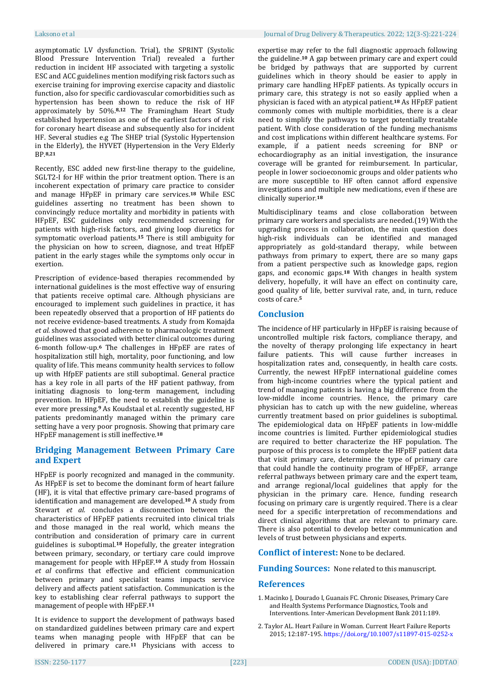asymptomatic LV dysfunction. Trial), the SPRINT (Systolic Blood Pressure Intervention Trial) revealed a further reduction in incident HF associated with targeting a systolic ESC and ACC guidelines mention modifying risk factors such as exercise training for improving exercise capacity and diastolic function, also for specific cardiovascular comorbidities such as hypertension has been shown to reduce the risk of HF approximately by 50%. **8,12** The Framingham Heart Study established hypertension as one of the earliest factors of risk for coronary heart disease and subsequently also for incident HF. Several studies e.g The SHEP trial (Systolic Hypertension in the Elderly), the HYVET (Hypertension in the Very Elderly BP. **8,21**

Recently, ESC added new first-line therapy to the guideline, SGLT2-I for HF within the prior treatment option. There is an incoherent expectation of primary care practice to consider and manage HFpEF in primary care services.**<sup>18</sup>** While ESC guidelines asserting no treatment has been shown to convincingly reduce mortality and morbidity in patients with HFpEF, ESC guidelines only recommended screening for patients with high-risk factors, and giving loop diuretics for symptomatic overload patients. **<sup>15</sup>** There is still ambiguity for the physician on how to screen, diagnose, and treat HfpEF patient in the early stages while the symptoms only occur in exertion.

Prescription of evidence-based therapies recommended by international guidelines is the most effective way of ensuring that patients receive optimal care. Although physicians are encouraged to implement such guidelines in practice, it has been repeatedly observed that a proportion of HF patients do not receive evidence-based treatments. A study from Komajda *et al.* showed that good adherence to pharmacologic treatment guidelines was associated with better clinical outcomes during 6-month follow-up.**<sup>6</sup>** The challenges in HFpEF are rates of hospitalization still high, mortality, poor functioning, and low quality of life. This means community health services to follow up with HfpEF patients are still suboptimal. General practice has a key role in all parts of the HF patient pathway, from initiating diagnosis to long-term management, including prevention. In HFpEF, the need to establish the guideline is ever more pressing.**<sup>9</sup>** As Koudstaal et al. recently suggested, HF patients predominantly managed within the primary care setting have a very poor prognosis. Showing that primary care HFpEF management is still ineffective.**<sup>18</sup>**

### **Bridging Management Between Primary Care and Expert**

HFpEF is poorly recognized and managed in the community. As HFpEF is set to become the dominant form of heart failure (HF), it is vital that effective primary care-based programs of identification and management are developed.**<sup>10</sup>** A study from Stewart *et al.* concludes a disconnection between the characteristics of HFpEF patients recruited into clinical trials and those managed in the real world, which means the contribution and consideration of primary care in current guidelines is suboptimal.**<sup>18</sup>** Hopefully, the greater integration between primary, secondary, or tertiary care could improve management for people with HFpEF.**<sup>10</sup>** A study from Hossain *et al* confirms that effective and efficient communication between primary and specialist teams impacts service delivery and affects patient satisfaction. Communication is the key to establishing clear referral pathways to support the management of people with HFpEF. **11**

It is evidence to support the development of pathways based on standardized guidelines between primary care and expert teams when managing people with HFpEF that can be delivered in primary care.**<sup>11</sup>** Physicians with access to

expertise may refer to the full diagnostic approach following the guideline. **<sup>10</sup>** A gap between primary care and expert could be bridged by pathways that are supported by current guidelines which in theory should be easier to apply in primary care handling HFpEF patients. As typically occurs in primary care, this strategy is not so easily applied when a physician is faced with an atypical patient.**<sup>18</sup>** As HFpEF patient commonly comes with multiple morbidities, there is a clear need to simplify the pathways to target potentially treatable patient. With close consideration of the funding mechanisms and cost implications within different healthcare systems. For example, if a patient needs screening for BNP or echocardiography as an initial investigation, the insurance coverage will be granted for reimbursement. In particular, people in lower socioeconomic groups and older patients who are more susceptible to HF often cannot afford expensive investigations and multiple new medications, even if these are clinically superior. **18**

Multidisciplinary teams and close collaboration between primary care workers and specialists are needed.(19) With the upgrading process in collaboration, the main question does high-risk individuals can be identified and managed appropriately as gold-standard therapy, while between pathways from primary to expert, there are so many gaps from a patient perspective such as knowledge gaps, region gaps, and economic gaps. **<sup>18</sup>** With changes in health system delivery, hopefully, it will have an effect on continuity care, good quality of life, better survival rate, and, in turn, reduce costs of care.**<sup>5</sup>**

### **Conclusion**

The incidence of HF particularly in HFpEF is raising because of uncontrolled multiple risk factors, compliance therapy, and the novelty of therapy prolonging life expectancy in heart failure patients. This will cause further increases in hospitalization rates and, consequently, in health care costs. Currently, the newest HFpEF international guideline comes from high-income countries where the typical patient and trend of managing patients is having a big difference from the low-middle income countries. Hence, the primary care physician has to catch up with the new guideline, whereas currently treatment based on prior guidelines is suboptimal. The epidemiological data on HFpEF patients in low-middle income countries is limited. Further epidemiological studies are required to better characterize the HF population. The purpose of this process is to complete the HFpEF patient data that visit primary care, determine the type of primary care that could handle the continuity program of HFpEF, arrange referral pathways between primary care and the expert team, and arrange regional/local guidelines that apply for the physician in the primary care. Hence, funding research focusing on primary care is urgently required. There is a clear need for a specific interpretation of recommendations and direct clinical algorithms that are relevant to primary care. There is also potential to develop better communication and levels of trust between physicians and experts.

**Conflict of interest:** None to be declared.

**Funding Sources:** None related to this manuscript.

#### **References**

- 1. Macinko J, Dourado I, Guanais FC. Chronic Diseases, Primary Care and Health Systems Performance Diagnostics, Tools and Interventions. Inter-American Development Bank 2011:189.
- 2. Taylor AL. Heart Failure in Woman. Current Heart Failure Reports 2015; 12:187-195. <https://doi.org/10.1007/s11897-015-0252-x>